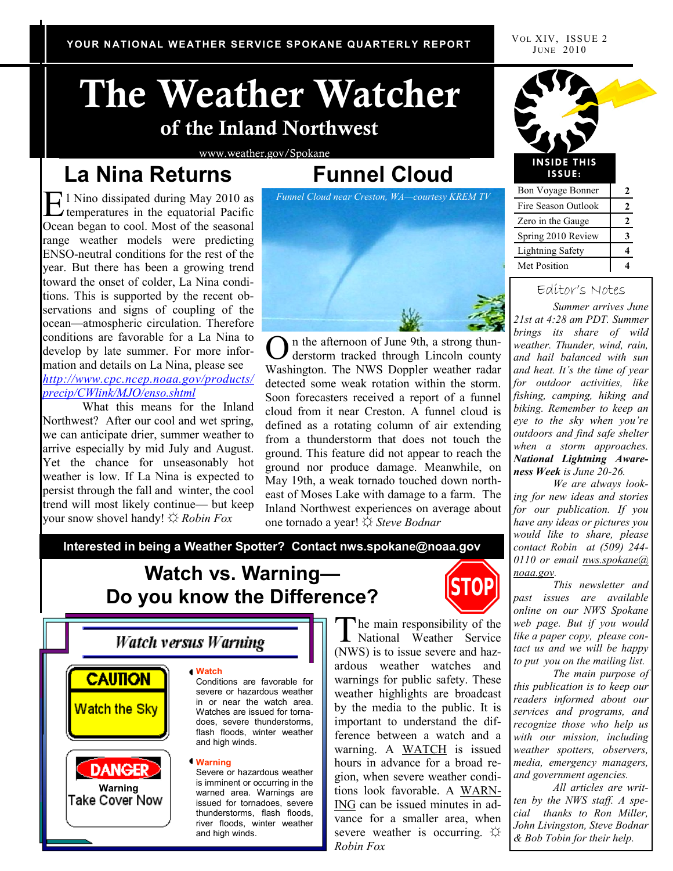VOL XIV, ISSUE 2 JUNE 2010

# **The Weather Watcher of the Inland Northwest**

www.weather.gov/Spokane

# **La Nina Returns**

# **Funnel Cloud**

E<sup>1</sup> Nino dissipated during May 2010 as<br>temperatures in the equatorial Pacific l Nino dissipated during May 2010 as Ocean began to cool. Most of the seasonal range weather models were predicting ENSO-neutral conditions for the rest of the year. But there has been a growing trend toward the onset of colder, La Nina conditions. This is supported by the recent observations and signs of coupling of the ocean—atmospheric circulation. Therefore conditions are favorable for a La Nina to develop by late summer. For more information and details on La Nina, please see *http://www.cpc.ncep.noaa.gov/products/ precip/CWlink/MJO/enso.shtml*

What this means for the Inland Northwest? After our cool and wet spring, we can anticipate drier, summer weather to arrive especially by mid July and August. Yet the chance for unseasonably hot weather is low. If La Nina is expected to persist through the fall and winter, the cool trend will most likely continue— but keep your snow shovel handy! ☼ *Robin Fox* 



On the afternoon of June 9th, a strong thun-<br>derstorm tracked through Lincoln county derstorm tracked through Lincoln county Washington. The NWS Doppler weather radar detected some weak rotation within the storm. Soon forecasters received a report of a funnel cloud from it near Creston. A funnel cloud is defined as a rotating column of air extending from a thunderstorm that does not touch the ground. This feature did not appear to reach the ground nor produce damage. Meanwhile, on May 19th, a weak tornado touched down northeast of Moses Lake with damage to a farm. The Inland Northwest experiences on average about one tornado a year! ☼ *Steve Bodnar* 

**Interested in being a Weather Spotter? Contact nws.spokane@noaa.gov** 

# **Watch vs. Warning— Do you know the Difference?**



The main responsibility of the<br>National Weather Service National Weather Service (NWS) is to issue severe and hazardous weather watches and warnings for public safety. These weather highlights are broadcast by the media to the public. It is important to understand the difference between a watch and a warning. A WATCH is issued hours in advance for a broad region, when severe weather conditions look favorable. A WARN-ING can be issued minutes in advance for a smaller area, when severe weather is occurring.  $\varphi$ *Robin Fox* 



#### Editor's Notes

*Summer arrives June 21st at 4:28 am PDT. Summer brings its share of wild weather. Thunder, wind, rain, and hail balanced with sun and heat. It's the time of year for outdoor activities, like fishing, camping, hiking and biking. Remember to keep an eye to the sky when you're outdoors and find safe shelter when a storm approaches. National Lightning Awareness Week is June 20-26.*

*We are always looking for new ideas and stories for our publication. If you have any ideas or pictures you would like to share, please contact Robin at (509) 244- 0110 or email nws.spokane@ noaa.gov.*

*This newsletter and past issues are available online on our NWS Spokane web page. But if you would like a paper copy, please contact us and we will be happy to put you on the mailing list.* 

*The main purpose of this publication is to keep our readers informed about our services and programs, and recognize those who help us with our mission, including weather spotters, observers, media, emergency managers, and government agencies.*

*All articles are written by the NWS staff. A special thanks to Ron Miller, John Livingston, Steve Bodnar & Bob Tobin for their help.*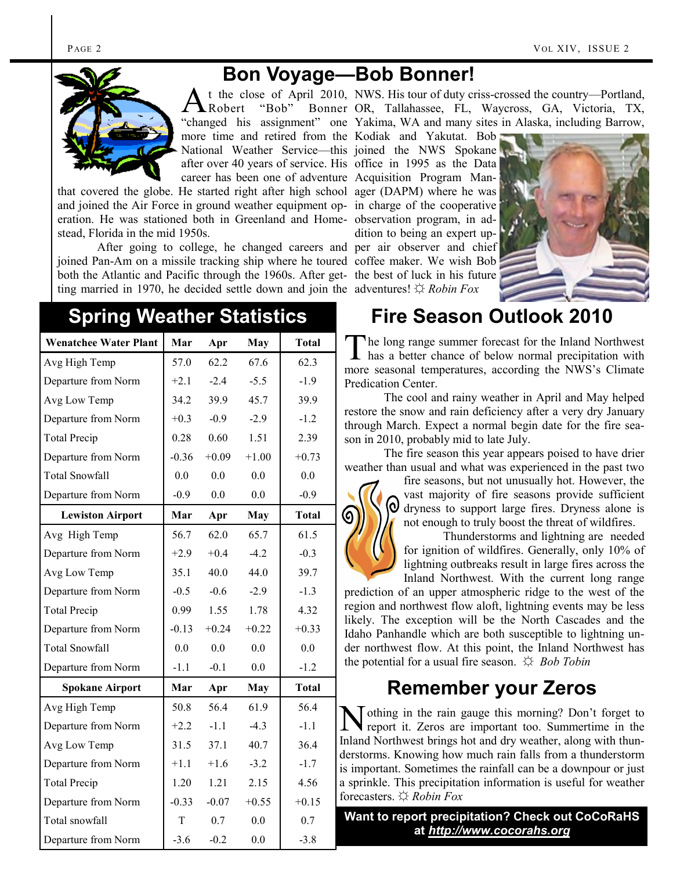#### **Bon Voyage—Bob Bonner!**



A t the close of April 2010, NWS. His tour of duty criss-crossed the country—Portland, Robert "Bob" "changed his assignment" one Yakima, WA and many sites in Alaska, including Barrow, more time and retired from the Kodiak and Yakutat. Bob National Weather Service—this joined the NWS Spokane after over 40 years of service. His office in 1995 as the Data career has been one of adventure Acquisition Program Man-Bonner OR, Tallahassee, FL, Waycross, GA, Victoria, TX,

that covered the globe. He started right after high school ager (DAPM) where he was and joined the Air Force in ground weather equipment op-in charge of the cooperative eration. He was stationed both in Greenland and Home-observation program, in adstead, Florida in the mid 1950s.

After going to college, he changed careers and per air observer and chief joined Pan-Am on a missile tracking ship where he toured coffee maker. We wish Bob both the Atlantic and Pacific through the 1960s. After get-the best of luck in his future ting married in 1970, he decided settle down and join the adventures! ☼ *Robin Fox*

dition to being an expert up-



# **Spring Weather Statistics**

| <b>Wenatchee Water Plant</b> | Mar     | Apr     | <b>May</b> | <b>Total</b> |
|------------------------------|---------|---------|------------|--------------|
| Avg High Temp                | 57.0    | 62.2    | 67.6       | 62.3         |
| Departure from Norm          | $+2.1$  | $-2.4$  | $-5.5$     | $-1.9$       |
| Avg Low Temp                 | 34.2    | 39.9    | 45.7       | 39.9         |
| Departure from Norm          | $+0.3$  | $-0.9$  | $-2.9$     | $-1.2$       |
| <b>Total Precip</b>          | 0.28    | 0.60    | 1.51       | 2.39         |
| Departure from Norm          | $-0.36$ | $+0.09$ | $+1.00$    | $+0.73$      |
| <b>Total Snowfall</b>        | 0.0     | 0.0     | 0.0        | 0.0          |
| Departure from Norm          | $-0.9$  | 0.0     | 0.0        | $-0.9$       |
| <b>Lewiston Airport</b>      | Mar     | Apr     | May        | <b>Total</b> |
| Avg High Temp                | 56.7    | 62.0    | 65.7       | 61.5         |
| Departure from Norm          | $+2.9$  | $+0.4$  | $-4.2$     | $-0.3$       |
| Avg Low Temp                 | 35.1    | 40.0    | 44.0       | 39.7         |
| Departure from Norm          | $-0.5$  | $-0.6$  | $-2.9$     | $-1.3$       |
| <b>Total Precip</b>          | 0.99    | 1.55    | 1.78       | 4.32         |
| Departure from Norm          | $-0.13$ | $+0.24$ | $+0.22$    | $+0.33$      |
| <b>Total Snowfall</b>        | 0.0     | 0.0     | 0.0        | 0.0          |
| Departure from Norm          | $-1.1$  | $-0.1$  | $0.0\,$    | $-1.2$       |
| <b>Spokane Airport</b>       | Mar     | Apr     | <b>May</b> | <b>Total</b> |
| Avg High Temp                | 50.8    | 56.4    | 61.9       | 56.4         |
| Departure from Norm          | $+2.2$  | $-1.1$  | $-4.3$     | $-1.1$       |
| Avg Low Temp                 | 31.5    | 37.1    | 40.7       | 36.4         |
| Departure from Norm          | $+1.1$  | $+1.6$  | $-3.2$     | $-1.7$       |
| <b>Total Precip</b>          | 1.20    | 1.21    | 2.15       | 4.56         |
| Departure from Norm          | $-0.33$ | $-0.07$ | $+0.55$    | $+0.15$      |
| Total snowfall               | T       | 0.7     | 0.0        | 0.7          |
| Departure from Norm          | $-3.6$  | $-0.2$  | 0.0        | $-3.8$       |

## **Fire Season Outlook 2010**

The long range summer forecast for the Inland Northwest<br>has a better chance of below normal precipitation with he long range summer forecast for the Inland Northwest more seasonal temperatures, according the NWS's Climate Predication Center.

The cool and rainy weather in April and May helped restore the snow and rain deficiency after a very dry January through March. Expect a normal begin date for the fire season in 2010, probably mid to late July.

The fire season this year appears poised to have drier weather than usual and what was experienced in the past two

> fire seasons, but not unusually hot. However, the vast majority of fire seasons provide sufficient dryness to support large fires. Dryness alone is not enough to truly boost the threat of wildfires.

Thunderstorms and lightning are needed for ignition of wildfires. Generally, only 10% of lightning outbreaks result in large fires across the Inland Northwest. With the current long range

prediction of an upper atmospheric ridge to the west of the region and northwest flow aloft, lightning events may be less likely. The exception will be the North Cascades and the Idaho Panhandle which are both susceptible to lightning under northwest flow. At this point, the Inland Northwest has the potential for a usual fire season. ☼ *Bob Tobin*

## **Remember your Zeros**

N othing in the rain gauge this morning? Don't forget to report it. Zeros are important too. Summertime in the Inland Northwest brings hot and dry weather, along with thunderstorms. Knowing how much rain falls from a thunderstorm is important. Sometimes the rainfall can be a downpour or just a sprinkle. This precipitation information is useful for weather forecasters. ☼ *Robin Fox*

#### **Want to report precipitation? Check out CoCoRaHS at** *http://www.cocorahs.org*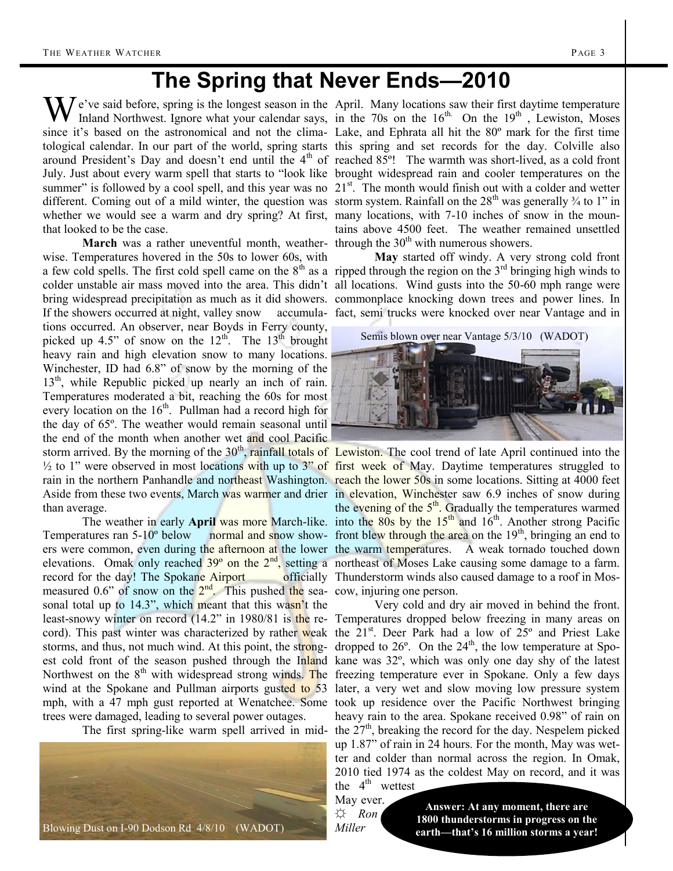# **The Spring that Never Ends—2010**

We've said before, spring is the longest season in the April. Many locations saw their first daytime temperature Inland Northwest. Ignore what your calendar says, in the 70s on the 16<sup>th</sup>. On the 19<sup>th</sup>, Lewiston, Moses whether we would see a warm and dry spring? At first, many locations, with 7-10 inches of snow in the mounthat looked to be the case.

wise. Temperatures hovered in the 50s to lower 60s, with a few cold spells. The first cold spell came on the  $8<sup>th</sup>$  as a ripped through the region on the  $3<sup>rd</sup>$  bringing high winds to colder unstable air mass moved into the area. This didn't all locations. Wind gusts into the 50-60 mph range were bring widespread precipitation as much as it did showers. commonplace knocking down trees and power lines. In If the showers occurred at night, valley snow accumula-fact, semi trucks were knocked over near Vantage and in tions occurred. An observer, near Boyds in Ferry county, picked up 4.5" of snow on the  $12<sup>th</sup>$ . The  $13<sup>th</sup>$  brought heavy rain and high elevation snow to many locations. Winchester, ID had 6.8" of snow by the morning of the 13<sup>th</sup>, while Republic picked up nearly an inch of rain. Temperatures moderated a bit, reaching the 60s for most every location on the  $16<sup>th</sup>$ . Pullman had a record high for the day of 65º. The weather would remain seasonal until the end of the month when another wet and cool Pacific storm arrived. By the morning of the  $30<sup>th</sup>$ , rainfall totals of Lewiston. The cool trend of late April continued into the than average.

record for the day! The Spokane Airport officially Thunderstorm winds also caused damage to a roof in Mosmeasured 0.6" of snow on the  $2<sup>nd</sup>$ . This pushed the sea- cow, injuring one person. sonal total up to 14.3", which meant that this wasn't the least-snowy winter on record (14.2" in 1980/81 is the re- Temperatures dropped below freezing in many areas on cord). This past winter was characterized by rather weak the 21<sup>st</sup>. Deer Park had a low of 25° and Priest Lake storms, and thus, not much wind. At this point, the strong- dropped to  $26^{\circ}$ . On the  $24^{\text{th}}$ , the low temperature at Spoest cold front of the season pushed through the Inland kane was 32°, which was only one day shy of the latest Northwest on the 8<sup>th</sup> with widespread strong winds. The freezing temperature ever in Spokane. Only a few days wind at the Spokane and Pullman airports gusted to 53 later, a very wet and slow moving low pressure system mph, with a 47 mph gust reported at Wenatchee. Some took up residence over the Pacific Northwest bringing trees were damaged, leading to several power outages.



Inland Northwest. Ignore what your calendar says, in the 70s on the  $16<sup>th</sup>$ . On the  $19<sup>th</sup>$ , Lewiston, Moses since it's based on the astronomical and not the clima-Lake, and Ephrata all hit the 80º mark for the first time tological calendar. In our part of the world, spring starts this spring and set records for the day. Colville also around President's Day and doesn't end until the 4<sup>th</sup> of reached 85°! The warmth was short-lived, as a cold front July. Just about every warm spell that starts to "look like brought widespread rain and cooler temperatures on the summer" is followed by a cool spell, and this year was no  $21<sup>st</sup>$ . The month would finish out with a colder and wetter different. Coming out of a mild winter, the question was storm system. Rainfall on the 28<sup>th</sup> was generally <sup>3</sup>/<sub>4</sub> to 1" in **March** was a rather uneventful month, weather- through the  $30<sup>th</sup>$  with numerous showers. tains above 4500 feet. The weather remained unsettled

**May** started off windy. A very strong cold front

Semis blown over near Vantage 5/3/10 (WADOT)



 $\frac{1}{2}$  to 1" were observed in most locations with up to 3" of first week of May. Daytime temperatures struggled to rain in the northern Panhandle and northeast Washington. reach the lower 50s in some locations. Sitting at 4000 feet Aside from these two events, March was warmer and drier in elevation, Winchester saw 6.9 inches of snow during The weather in early **April** was more March-like. into the 80s by the 15<sup>th</sup> and 16<sup>th</sup>. Another strong Pacific Temperatures ran  $5{\text -}10^{\circ}$  below normal and snow show- front blew through the area on the  $19^{\text{th}}$ , bringing an end to ers were common, even during the afternoon at the lower the warm temperatures. A weak tornado touched down elevations. Omak only reached  $39^{\circ}$  on the  $2^{\text{nd}}$ , setting a northeast of Moses Lake causing some damage to a farm. the evening of the  $5<sup>th</sup>$ . Gradually the temperatures warmed

The first spring-like warm spell arrived in mid- the  $27<sup>th</sup>$ , breaking the record for the day. Nespelem picked Very cold and dry air moved in behind the front. heavy rain to the area. Spokane received 0.98" of rain on up 1.87" of rain in 24 hours. For the month, May was wetter and colder than normal across the region. In Omak, 2010 tied 1974 as the coldest May on record, and it was

the  $4<sup>th</sup>$  wettest May ever.

☼ *Ron Miller*

**Answer: At any moment, there are 1800 thunderstorms in progress on the earth—that's 16 million storms a year!**